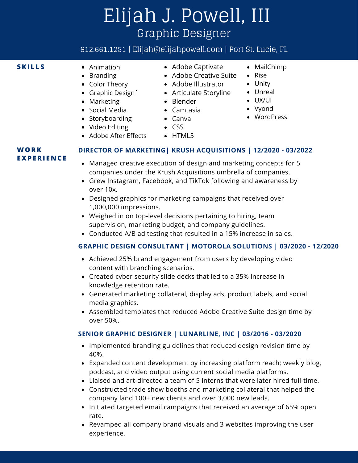# Elijah J. Powell, III Graphic Designer

## 912.661.1251 | Elijah@elijahpowell.com | Port St. Lucie, FL

- Animation
	- Branding
	- Color Theory
	- Graphic Design`
	- Marketing
	- Social Media
	- Storyboarding
	- Video Editing
	- Adobe After Effects
- **SKILLS** Animation Adobe Captivate
	- Adobe Creative Suite
	- Adobe Illustrator
	- Articulate Storyline
	- Blender
	- Camtasia
	- Canva
	- $\bullet$  CSS
	-
- 
- 
- MailChimp Rise
- Unity
- Unreal
- UX/UI
- Vyond
	- WordPress

• HTML5

#### **WORK E X PERI E N CE**

#### **DIRECTOR OF MARKETING| KRUSH ACQUISITIONS | 12/2020 - 03/2022**

- Managed creative execution of design and marketing concepts for 5 companies under the Krush Acquisitions umbrella of companies.
- Grew Instagram, Facebook, and TikTok following and awareness by over 10x.
- Designed graphics for marketing campaigns that received over 1,000,000 impressions.
- Weighed in on top-level decisions pertaining to hiring, team supervision, marketing budget, and company guidelines.
- Conducted A/B ad testing that resulted in a 15% increase in sales.

### **GRAPHIC DESIGN CONSULTANT | MOTOROLA SOLUTIONS | 03/2020 - 12/2020**

- Achieved 25% brand engagement from users by developing video content with branching scenarios.
- Created cyber security slide decks that led to a 35% increase in knowledge retention rate.
- Generated marketing collateral, display ads, product labels, and social media graphics.
- Assembled templates that reduced Adobe Creative Suite design time by over 50%.

#### **SENIOR GRAPHIC DESIGNER | LUNARLINE, INC | 03/2016 - 03/2020**

- Implemented branding guidelines that reduced design revision time by 40%.
- Expanded content development by increasing platform reach; weekly blog, podcast, and video output using current social media platforms.
- Liaised and art-directed a team of 5 interns that were later hired full-time.
- Constructed trade show booths and marketing collateral that helped the company land 100+ new clients and over 3,000 new leads.
- Initiated targeted email campaigns that received an average of 65% open rate.
- Revamped all company brand visuals and 3 websites improving the user experience.